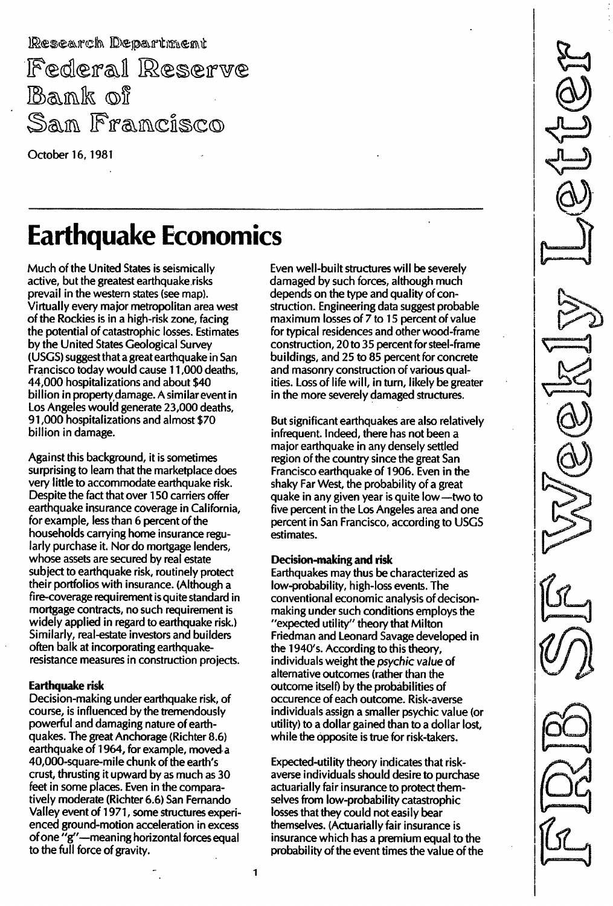Research Department Federal Reserve Bank of San Francisco

October 16, 1981

# Earthquake Economics

Much of the United States is seismically active, but the greatest earthquake risks prevail in the western states (see map). Virtually every major metropolitan area west of the Rockies is in a high-risk zone, facing the potential of catastrophic losses. Estimates by the United States Geological Survey (USGS) suggest that a great earthquake in San Francisco today would cause 11 ,000 deaths, 44,000 hospitalizations and about \$40 billion in propertydamage. Asimilarevent in Los Angeles would generate 23,000 deaths, 91 ,000 hospitalizations and almost \$70 billion in damage.

Against this background, it is sometimes surprising to learn that the marketplace does very little to accommodate earthquake risk. Despite the fact that over 1 50 carriers offer earthquake insurance coverage in California, for example, less than 6 percent of the households carrying home insurance regularly purchase it. Nor do mortgage lenders, whose assets are secured by real estate subject to earthquake risk, routinely protect their portfolios with insurance. (Although a fire-coverage requirement is quite standard in mortgage contracts, no such requirement is widely applied in regard to earthquake risk.) Similarly, real-estate investors and builders often balk at incorporating earthquakeresistance measures in construction projects.

# Earthquake risk

Decision-making under earthquake risk, of course, is influenced by the tremendously powerful and damaging nature of earthquakes. The great Anchorage (Richter 8.6) earthquake of 1964, for example, moved a 40, OOO-square-mile chunk of the earth's crust, thrusting it upward by as much as 30 feet in some places. Even in the comparatively moderate (Richter 6.6) San Fernando Valley event of 1971 , some structures experienced ground-motion acceleration in excess of one "g"-meaning horizontal forces equal to the full force of gravity.

Even well-built structures will be severely damaged by such forces, although much depends on the type and quality of construction. Engineering data suggest probable maximum losses of 7 to 15 percent of value for typical residences and other wood-frame construction, 20 to 35 percent for steel-frame buildings, and 25 to 85 percent for concrete and masonry construction of various qualities. Loss of life will, in turn, likely be greater in the more severely damaged structures.

But significant earthquakes are also relatively infrequent. Indeed, there has not been a major earthquake in any densely settled region of the country since the great San Francisco earthquake of 1906. Even in the shaky Far West, the probability of a great quake in any given year is quite low-two to five percent in the Los Angeles area and one percent in San Francisco, according to USGS estimates.

# Decision-making and risk

Earthquakes may thus be characterized as low-probability, high-loss events. The conventional economic analysis of decisonmaking under such conditions employs the "expected utility" theory that Milton Friedman and Leonard Savage developed in the 1940's. According to this theory, individuals weight the psychic value of alternative outcomes (rather than the outcome itself) by the probabilities of occurence of each outcome. Risk-averse individuals assign a smaller psychic value (or utility) to a dollar gained than to a dollar lost, while the opposite is true for risk-takers.

Expected-utility theory indicates that riskaverse individuals should desire to purchase actuarially fair insurance to protect themselves from low-probability catastrophic losses that they could not easily bear themselves. (Actuarially fair insurance is insurance which has a premium equal to the probability of the event times the value of the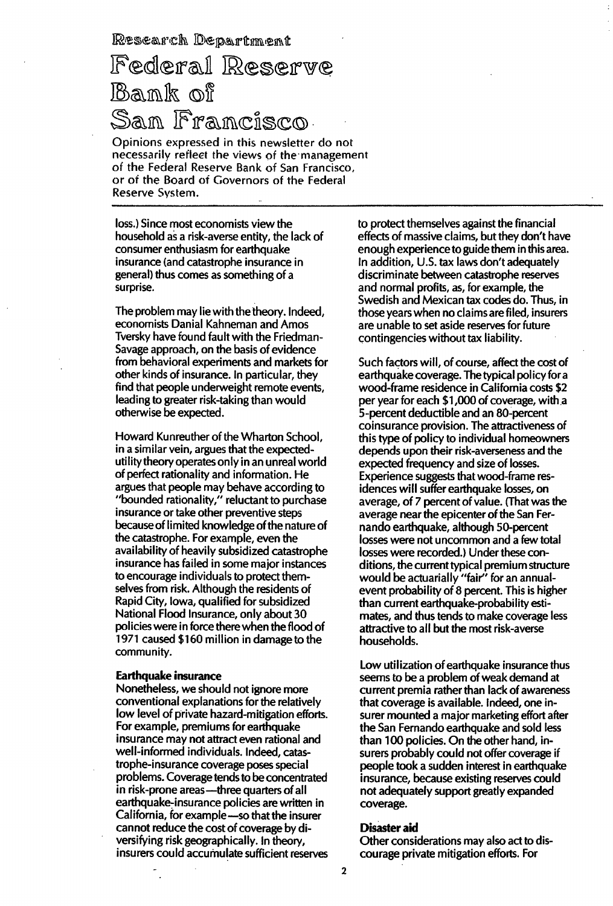Research Department

# Federal Reserve Bank of San Francisco.

()pinions expressed in this newsletter do not necessarily reflect the views of the management of the Federal Reserve Bank of San Francisco, or of the Board of Governors of the Federal Reserve Svstem.

loss.) Since most economists view the household as a risk-averse entity, the lack of consumer enthusiasm for earthquake insurance (and catastrophe insurance in general) thus comes as something of a surprise.

The problem may lie with the theory. Indeed, economists Danial Kahneman and Amos Tversky have found fault with the Friedman-Savage approach, on the basis of evidence from behavioral experiments and markets for other kinds of insurance. In particular, they find that people underweight remote events, leading to greater risk-taking than would otherwise be expected.

Howard Kunreuther of the Wharton School, in a similar vein, argues that the expectedutility theory operates only in an unreal world of perfect rationality and information. He argues that people may behave according to "bounded rationality," reluctant to purchase insurance or take other preventive steps because of limited knowledge of the nature of the catastrophe. For example, even the availability of heavily subsidized catastrophe insurance has failed in some major instances to encourage individuals to protect themselves from risk. Although the residents of Rapid City, Iowa, qualified for subsidized National Flood Insurance, only about 30 policies were in force there when the flood of 1971 caused \$160 million in damage to the community.

#### Earthquake insurance

Nonetheless, we should not ignore more conventional explanations for the relatively low level of private hazard-mitigation efforts. For example, premiums for earthquake insurance may not attract even rational and well-informed individuals. Indeed, catastrophe-insurance coverage poses special problems. Coverage tends to be concentrated in risk-prone areas-three quarters of all earthquake-insurance policies are written in California, for example-so that the insurer cannot reduce the cost of coverage by diversifying risk geographically. In theory, insurers could accumulate sufficient reserves to protect themselves against the financial effects of massive claims, but they don't have enough experience to guide them in this area. In addition, U.S. tax laws don't adequately discriminate between catastrophe reserves and normal profits, as, for example, the Swedish and Mexican tax codes do. Thus, in those years when no claims are filed, insurers are unable to set aside reserves for future contingencies without tax liability.

Such factors will, of course, affect the cost of earthquake coverage. The typical policy for a wood-frame residence in California costs \$2 per year for each \$1 ,000 of coverage, with a 5-percent deductible and an 80-percent coinsurance provision. The attractiveness of this type of policy to individual homeowners depends upon their risk-averseness and the expected frequency and size of losses. Experience suggests that wood-frame residences will suffer earthquake losses, on average, of 7 percent of value. (That was the average near the epicenter of the San Fernando earthquake, although 50-percent losses were not uncommon and a few total losses were recorded.) Under these conditions, the current typical premium structure would be actuarially "fair" for an annualevent probability of 8 percent. This is higher than current earthquake-probability estimates, and thus tends to make coverage less attractive to all but the most risk-averse households.

Low utilization of earthquake insurance thus seems to be a problem of weak demand at current premia rather than lack of awareness that coverage is available. Indeed, one insurer mounted a major marketing effort after the San Fernando earthquake and sold less than 100 policies. On the other hand, insurers probably could not offer coverage if people took a sudden interest in earthquake insurance, because existing reserves could not adequately support greatly expanded coverage.

#### Disaster aid

Other considerations may also act to discourage private mitigation efforts. For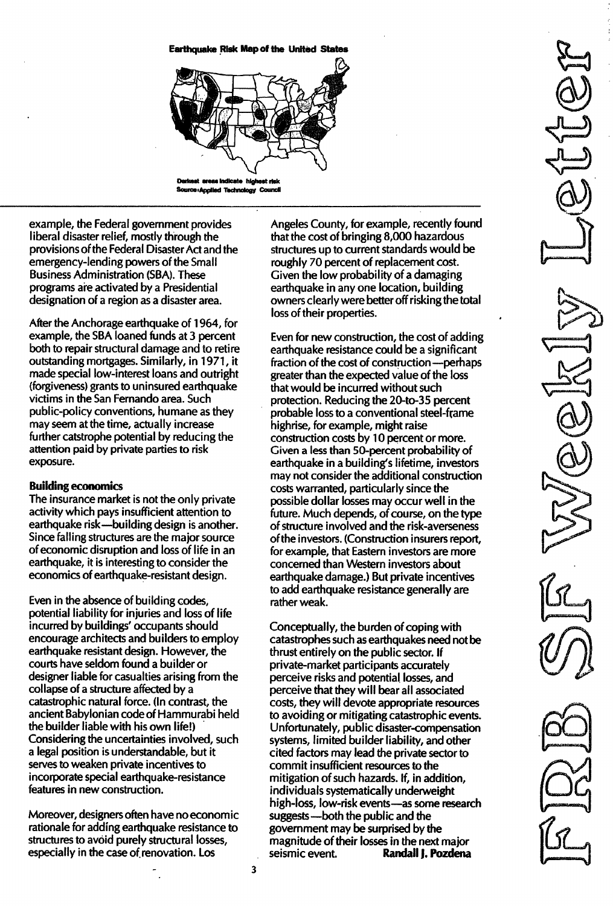Earthquake Risk Map of the United States



example, the Federal government provides liberal disaster relief, mostly through the provisions of the Federal Disaster Act and the emergency-lending powers of the Small Business Administration (SBA). These programs are activated by a Presidential designation of a region as a disaster area.

After the Anchorage earthquake of 1964, for example, the SBA loaned funds at 3 percent both to repair structural damage and to retire outstanding mortgages. Similarly, in 1971, it made special low-interest loans and outright (forgiveness) grants to uninsured earthquake victims in the San Fernando area. Such public-policy conventions, humane as they may seem at the time, actually increase further catstrophe potential by reducing the attention paid by private parties to risk exposure.

# Building economics

The insurance market is not the only private activity which pays insufficient attention to earthquake risk-building design is another. Since falling structures are the major source of economic disruption and loss of life in an earthquake, it is interesting to consider the economics of earthquake-resistant design.

Even in the absence of building codes, potential liability for injuries and loss of life incurred by buildings' occupants should encourage architects and builders to employ earthquake resistant design. However, the courts have seldom found a builder or designer liable for casualties arising from the collapse of a structure affected by a catastrophic natural force. (In contrast, the ancient Babylonian code of Hammurabi held the builder liable with his own life!) Considering the uncertainties involved, such a legal position is understandable, but it serves to weaken private incentives to incorporate special earthquake-resistance features in new construction.

Moreover, designers often have no economic rationale for adding earthquake resistance to structures to avoid purely structural losses, especially in the case of renovation. Los

Angeles County, for example, recently found that the cost of bringing 8,000 hazardous structures up to current standards would be roughly 70 percent of replacement cost. Given the low probability of a damaging earthquake in anyone location, building owners clearly were better off risking the total loss of their properties.

Even for new construction, the cost of adding earthquake resistance could be a significant fraction of the cost of construction-perhaps greater than the expected value of the loss that would be incurred without such protection. Reducing the 20-to-35 percent probable loss to a conventional steel-frame highrise, for example, might raise construction costs by 10 percent or more. Given a less than 50-percent probability of earthquake in a building's lifetime, investors may not consider the additional construction costs warranted, particularly since the possible dollar losses may occur well in the future. Much depends, of course, on the type of structure involved and the risk-averseness of the investors. (Construction insurers report, for example, that Eastern investors are more concerned than Western investors about earthquake damage.) But private incentives to add earthquake resistance generally are rather weak.

Conceptually, the burden of coping with catastrophes such as earthquakes need not be thrust entirely on the public sector. If private-market participants accurately perceive risks and potential losses, and perceive that they will bear all associated costs, they will devote appropriate resources to avoiding or mitigating catastrophic events. Unfortunately, public disaster-compensation systems, limited builder liability, and other cited factors may lead the private sector to commit insufficient resources to the mitigation of such hazards. If, in addition, individuals systematically underweight high-loss, low-risk events-as some research suggests-both the public and the government may be surprised by the magnitude of their losses in the next major seismic event. Randall J. Pozdena